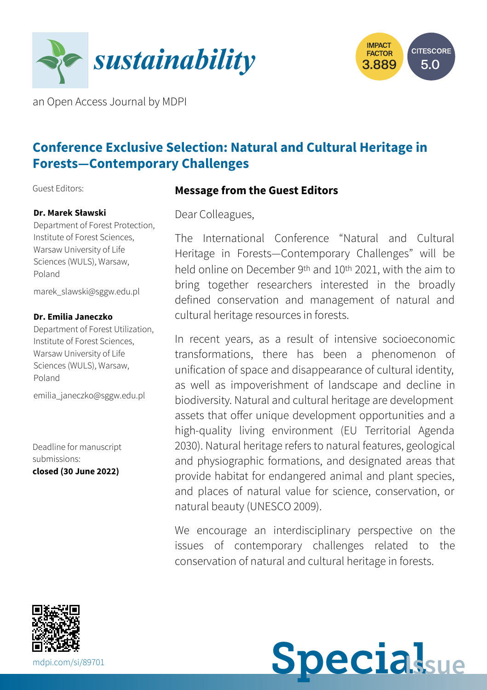



an Open Access Journal by MDPI

# **Conference Exclusive Selection: Natural and Cultural Heritage in Forests—Contemporary Challenges**

Guest Editors:

#### **Dr. Marek Sławski**

Department of Forest Protection, Institute of Forest Sciences, Warsaw University of Life Sciences (WULS), Warsaw, Poland

[marek\\_slawski@sggw.edu.pl](mailto:marek_slawski@sggw.edu.pl)

#### **Dr. Emilia Janeczko**

Department of Forest Utilization, Institute of Forest Sciences, Warsaw University of Life Sciences (WULS), Warsaw, Poland

[emilia\\_janeczko@sggw.edu.pl](mailto:emilia_janeczko@sggw.edu.pl)

Deadline for manuscript submissions: **closed (30 June 2022)**

**Message from the Guest Editors**

Dear Colleagues,

The International Conference "Natural and Cultural Heritage in Forests—Contemporary Challenges" will be held online on December 9th and 10th 2021, with the aim to bring together researchers interested in the broadly defined conservation and management of natural and cultural heritage resources in forests.

In recent years, as a result of intensive socioeconomic transformations, there has been a phenomenon of unification of space and disappearance of cultural identity, as well as impoverishment of landscape and decline in biodiversity. Natural and cultural heritage are development assets that offer unique development opportunities and a high-quality living environment (EU Territorial Agenda 2030). Natural heritage refers to natural features, geological and physiographic formations, and designated areas that provide habitat for endangered animal and plant species, and places of natural value for science, conservation, or natural beauty (UNESCO 2009).

We encourage an interdisciplinary perspective on the issues of contemporary challenges related to the conservation of natural and cultural heritage in forests.